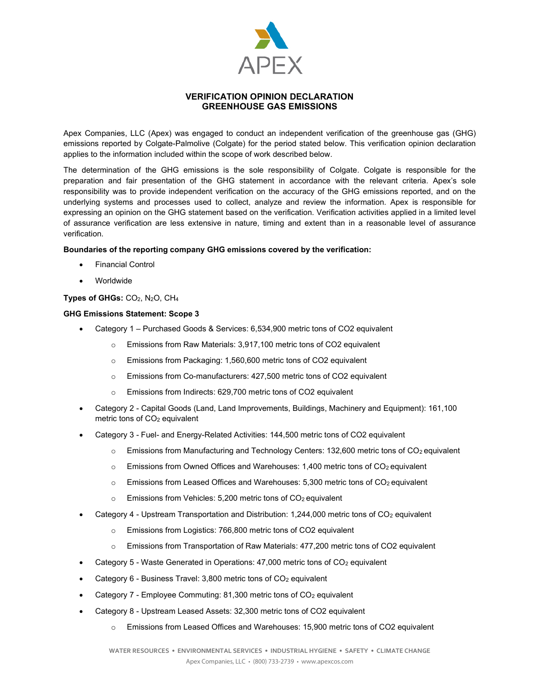

# VERIFICATION OPINION DECLARATION GREENHOUSE GAS EMISSIONS

Apex Companies, LLC (Apex) was engaged to conduct an independent verification of the greenhouse gas (GHG) emissions reported by Colgate-Palmolive (Colgate) for the period stated below. This verification opinion declaration applies to the information included within the scope of work described below.

The determination of the GHG emissions is the sole responsibility of Colgate. Colgate is responsible for the preparation and fair presentation of the GHG statement in accordance with the relevant criteria. Apex's sole responsibility was to provide independent verification on the accuracy of the GHG emissions reported, and on the underlying systems and processes used to collect, analyze and review the information. Apex is responsible for expressing an opinion on the GHG statement based on the verification. Verification activities applied in a limited level of assurance verification are less extensive in nature, timing and extent than in a reasonable level of assurance verification.

## Boundaries of the reporting company GHG emissions covered by the verification:

- Financial Control
- Worldwide

# Types of GHGs: CO<sub>2</sub>, N<sub>2</sub>O, CH<sub>4</sub>

## GHG Emissions Statement: Scope 3

- Category 1 Purchased Goods & Services: 6,534,900 metric tons of CO2 equivalent
	- o Emissions from Raw Materials: 3,917,100 metric tons of CO2 equivalent
	- o Emissions from Packaging: 1,560,600 metric tons of CO2 equivalent
	- o Emissions from Co-manufacturers: 427,500 metric tons of CO2 equivalent
	- o Emissions from Indirects: 629,700 metric tons of CO2 equivalent
- Category 2 Capital Goods (Land, Land Improvements, Buildings, Machinery and Equipment): 161,100 metric tons of CO<sub>2</sub> equivalent
- Category 3 Fuel- and Energy-Related Activities: 144,500 metric tons of CO2 equivalent
	- $\circ$  Emissions from Manufacturing and Technology Centers: 132,600 metric tons of CO<sub>2</sub> equivalent
	- $\circ$  Emissions from Owned Offices and Warehouses: 1,400 metric tons of CO<sub>2</sub> equivalent
	- $\circ$  Emissions from Leased Offices and Warehouses: 5,300 metric tons of CO<sub>2</sub> equivalent
	- $\circ$  Emissions from Vehicles: 5,200 metric tons of CO<sub>2</sub> equivalent
- Category 4 Upstream Transportation and Distribution: 1,244,000 metric tons of CO<sub>2</sub> equivalent
	- o Emissions from Logistics: 766,800 metric tons of CO2 equivalent
	- $\circ$  Emissions from Transportation of Raw Materials: 477,200 metric tons of CO2 equivalent
- Category 5 Waste Generated in Operations: 47,000 metric tons of CO<sub>2</sub> equivalent
- Category 6 Business Travel: 3,800 metric tons of CO<sub>2</sub> equivalent
- Category  $7$  Employee Commuting: 81,300 metric tons of  $CO<sub>2</sub>$  equivalent
- Category 8 Upstream Leased Assets: 32,300 metric tons of CO2 equivalent
	- $\circ$  Emissions from Leased Offices and Warehouses: 15,900 metric tons of CO2 equivalent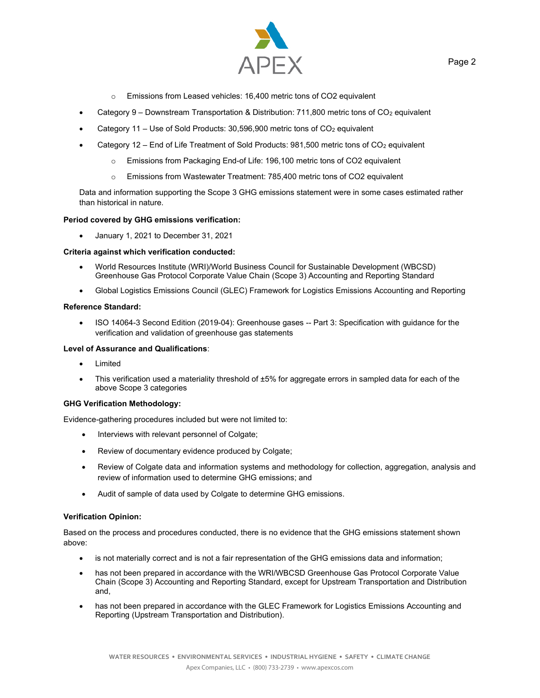

- o Emissions from Leased vehicles: 16,400 metric tons of CO2 equivalent
- Category 9 Downstream Transportation & Distribution: 711,800 metric tons of CO<sub>2</sub> equivalent
- Category 11 Use of Sold Products:  $30,596,900$  metric tons of CO<sub>2</sub> equivalent
- Category 12 End of Life Treatment of Sold Products: 981,500 metric tons of CO<sub>2</sub> equivalent
	- o Emissions from Packaging End-of Life: 196,100 metric tons of CO2 equivalent
	- o Emissions from Wastewater Treatment: 785,400 metric tons of CO2 equivalent

Data and information supporting the Scope 3 GHG emissions statement were in some cases estimated rather than historical in nature.

### Period covered by GHG emissions verification:

January 1, 2021 to December 31, 2021

## Criteria against which verification conducted:

- World Resources Institute (WRI)/World Business Council for Sustainable Development (WBCSD) Greenhouse Gas Protocol Corporate Value Chain (Scope 3) Accounting and Reporting Standard
- Global Logistics Emissions Council (GLEC) Framework for Logistics Emissions Accounting and Reporting

### Reference Standard:

• ISO 14064-3 Second Edition (2019-04): Greenhouse gases -- Part 3: Specification with guidance for the verification and validation of greenhouse gas statements

### Level of Assurance and Qualifications:

- Limited
- This verification used a materiality threshold of ±5% for aggregate errors in sampled data for each of the above Scope 3 categories

### GHG Verification Methodology:

Evidence-gathering procedures included but were not limited to:

- Interviews with relevant personnel of Colgate;
- Review of documentary evidence produced by Colgate;
- Review of Colgate data and information systems and methodology for collection, aggregation, analysis and review of information used to determine GHG emissions; and
- Audit of sample of data used by Colgate to determine GHG emissions.

### Verification Opinion:

Based on the process and procedures conducted, there is no evidence that the GHG emissions statement shown above:

- is not materially correct and is not a fair representation of the GHG emissions data and information;
- has not been prepared in accordance with the WRI/WBCSD Greenhouse Gas Protocol Corporate Value Chain (Scope 3) Accounting and Reporting Standard, except for Upstream Transportation and Distribution and,
- has not been prepared in accordance with the GLEC Framework for Logistics Emissions Accounting and Reporting (Upstream Transportation and Distribution).